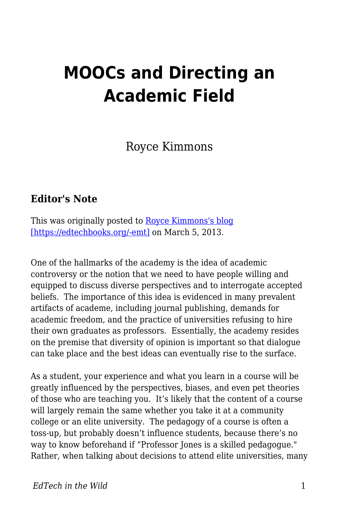## **MOOCs and Directing an Academic Field**

Royce Kimmons

## **Editor's Note**

This was originally posted to [Royce Kimmons's blog](http://blog.roycekimmons.com/post/44658259580/moocs-and-directing-an-academic-field) [\[https://edtechbooks.org/-emt\]](http://blog.roycekimmons.com/post/44658259580/moocs-and-directing-an-academic-field) on March 5, 2013.

One of the hallmarks of the academy is the idea of academic controversy or the notion that we need to have people willing and equipped to discuss diverse perspectives and to interrogate accepted beliefs. The importance of this idea is evidenced in many prevalent artifacts of academe, including journal publishing, demands for academic freedom, and the practice of universities refusing to hire their own graduates as professors. Essentially, the academy resides on the premise that diversity of opinion is important so that dialogue can take place and the best ideas can eventually rise to the surface.

As a student, your experience and what you learn in a course will be greatly influenced by the perspectives, biases, and even pet theories of those who are teaching you. It's likely that the content of a course will largely remain the same whether you take it at a community college or an elite university. The pedagogy of a course is often a toss-up, but probably doesn't influence students, because there's no way to know beforehand if "Professor Jones is a skilled pedagogue." Rather, when talking about decisions to attend elite universities, many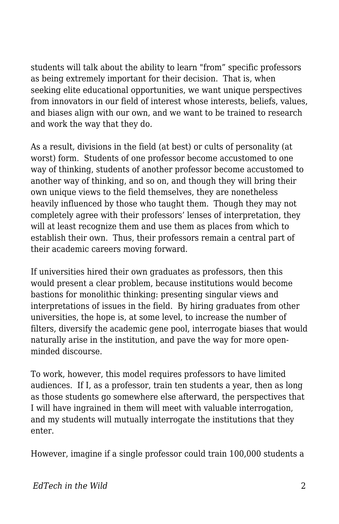students will talk about the ability to learn "from" specific professors as being extremely important for their decision. That is, when seeking elite educational opportunities, we want unique perspectives from innovators in our field of interest whose interests, beliefs, values, and biases align with our own, and we want to be trained to research and work the way that they do.

As a result, divisions in the field (at best) or cults of personality (at worst) form. Students of one professor become accustomed to one way of thinking, students of another professor become accustomed to another way of thinking, and so on, and though they will bring their own unique views to the field themselves, they are nonetheless heavily influenced by those who taught them. Though they may not completely agree with their professors' lenses of interpretation, they will at least recognize them and use them as places from which to establish their own. Thus, their professors remain a central part of their academic careers moving forward.

If universities hired their own graduates as professors, then this would present a clear problem, because institutions would become bastions for monolithic thinking: presenting singular views and interpretations of issues in the field. By hiring graduates from other universities, the hope is, at some level, to increase the number of filters, diversify the academic gene pool, interrogate biases that would naturally arise in the institution, and pave the way for more openminded discourse.

To work, however, this model requires professors to have limited audiences. If I, as a professor, train ten students a year, then as long as those students go somewhere else afterward, the perspectives that I will have ingrained in them will meet with valuable interrogation, and my students will mutually interrogate the institutions that they enter.

However, imagine if a single professor could train 100,000 students a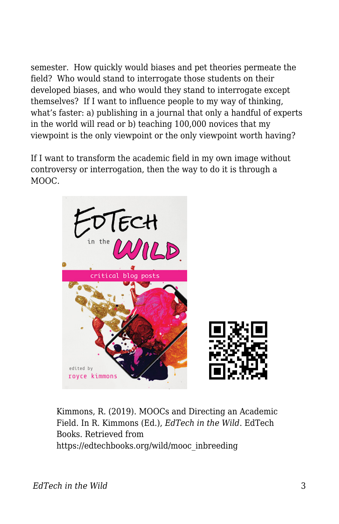semester. How quickly would biases and pet theories permeate the field? Who would stand to interrogate those students on their developed biases, and who would they stand to interrogate except themselves? If I want to influence people to my way of thinking, what's faster: a) publishing in a journal that only a handful of experts in the world will read or b) teaching 100,000 novices that my viewpoint is the only viewpoint or the only viewpoint worth having?

If I want to transform the academic field in my own image without controversy or interrogation, then the way to do it is through a MOOC.



Kimmons, R. (2019). MOOCs and Directing an Academic Field. In R. Kimmons (Ed.), *EdTech in the Wild*. EdTech Books. Retrieved from https://edtechbooks.org/wild/mooc\_inbreeding